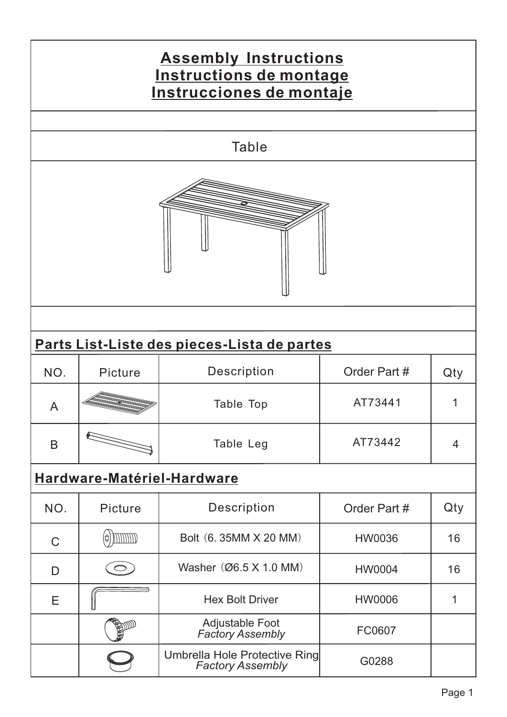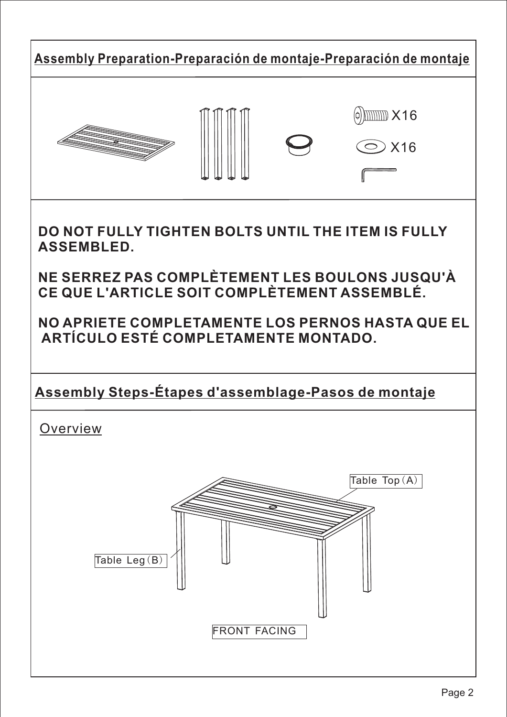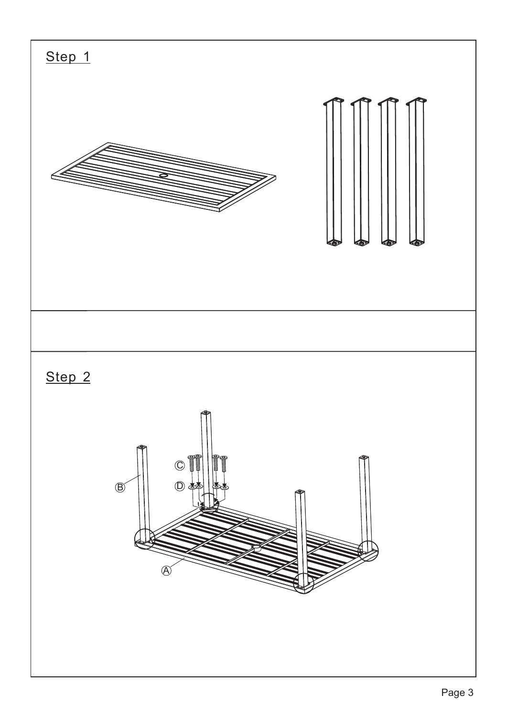